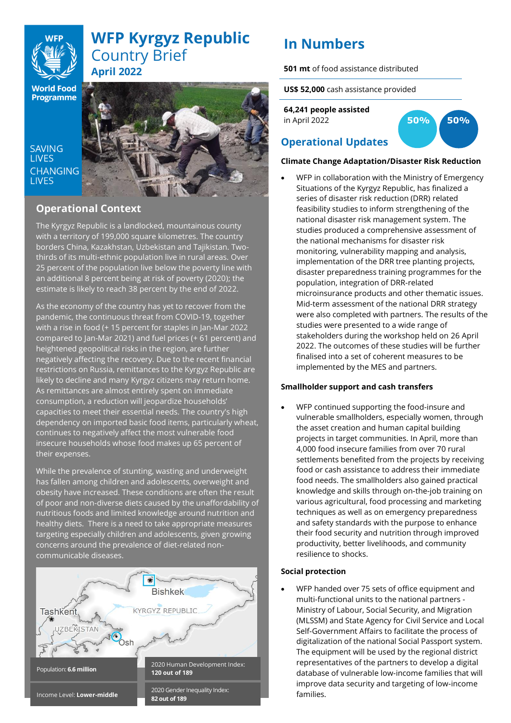

# **WFP Kyrgyz Republic** Country Brief **April 2022**

**World Food Programme** 

**SAVING LIVES CHANGING LIVES** 



## **Operational Context**

-533506 The Kyrgyz Republic is a landlocked, mountainous county with a territory of 199,000 square kilometres. The country borders China, Kazakhstan, Uzbekistan and Tajikistan. Twothirds of its multi-ethnic population live in rural areas. Over 25 percent of the population live below the poverty line with an additional 8 percent being at risk of poverty (2020); the estimate is likely to reach 38 percent by the end of 2022.

• with a rise in food (+ 15 percent for staples in Jan-Mar 2022 As the economy of the country has yet to recover from the pandemic, the continuous threat from COVID-19, together compared to Jan-Mar 2021) and fuel prices (+ 61 percent) and heightened geopolitical risks in the region, are further negatively affecting the recovery. Due to the recent financial restrictions on Russia, remittances to the Kyrgyz Republic are likely to decline and many Kyrgyz citizens may return home. As remittances are almost entirely spent on immediate consumption, a reduction will jeopardize households' capacities to meet their essential needs. The country's high dependency on imported basic food items, particularly wheat, continues to negatively affect the most vulnerable food insecure households whose food makes up 65 percent of their expenses.

While the prevalence of stunting, wasting and underweight has fallen among children and adolescents, overweight and obesity have increased. These conditions are often the result of poor and non-diverse diets caused by the unaffordability of nutritious foods and limited knowledge around nutrition and healthy diets. There is a need to take appropriate measures targeting especially children and adolescents, given growing concerns around the prevalence of diet-related noncommunicable diseases.



# **In Numbers**

## **501 mt** of food assistance distributed

**US\$ 52,000** cash assistance provided

**64,241 people assisted** in April 2022



## **Operational Updates**

## **Climate Change Adaptation/Disaster Risk Reduction**

• WFP in collaboration with the Ministry of Emergency Situations of the Kyrgyz Republic, has finalized a series of disaster risk reduction (DRR) related feasibility studies to inform strengthening of the national disaster risk management system. The studies produced a comprehensive assessment of the national mechanisms for disaster risk monitoring, vulnerability mapping and analysis, implementation of the DRR tree planting projects, disaster preparedness training programmes for the population, integration of DRR-related microinsurance products and other thematic issues. Mid-term assessment of the national DRR strategy were also completed with partners. The results of the studies were presented to a wide range of stakeholders during the workshop held on 26 April 2022. The outcomes of these studies will be further finalised into a set of coherent measures to be implemented by the MES and partners.

## **Smallholder support and cash transfers**

• WFP continued supporting the food-insure and vulnerable smallholders, especially women, through the asset creation and human capital building projects in target communities. In April, more than 4,000 food insecure families from over 70 rural settlements benefited from the projects by receiving food or cash assistance to address their immediate food needs. The smallholders also gained practical knowledge and skills through on-the-job training on various agricultural, food processing and marketing techniques as well as on emergency preparedness and safety standards with the purpose to enhance their food security and nutrition through improved productivity, better livelihoods, and community resilience to shocks.

## **Social protection**

• WFP handed over 75 sets of office equipment and multi-functional units to the national partners - Ministry of Labour, Social Security, and Migration (MLSSM) and State Agency for Civil Service and Local Self-Government Affairs to facilitate the process of digitalization of the national Social Passport system. The equipment will be used by the regional district representatives of the partners to develop a digital database of vulnerable low-income families that will improve data security and targeting of low-income families.